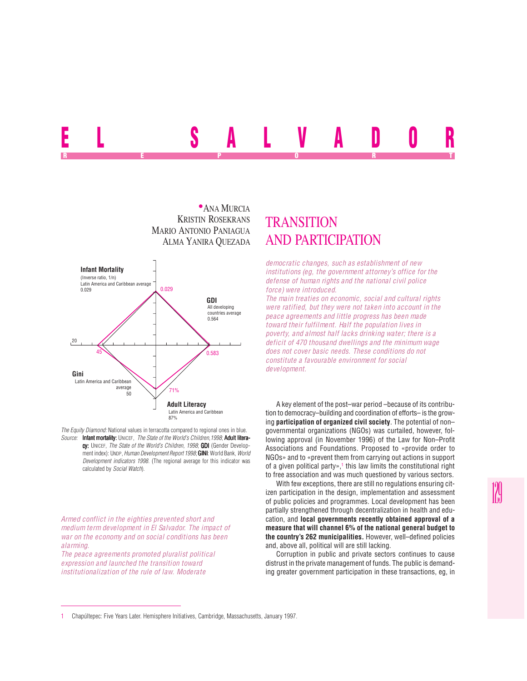# EL SALVADOR REPORT OF STATE REPORT OF STATE REPORT OF STATE REPORT OF STATE REPORT OF STATE REPORT OF STATE REPORT OF STATE REPORT OF STATE REPORT OF STATE REPORT OF STATE REPORT OF STATE REPORT OF STATE REPORT OF STATE REPORT OF STAT



*The Equity Diamond:* National values in terracotta compared to regional ones in blue. *Source:* Infant mortality: UNICEF, *The State of the World's Children,1998*; Adult literacy: UNICEF, *The State of the World's Children, 1998*; GDI (Gender Development index): UNDP, *Human Development Report 1998*; **GINI**: World Bank, *World Development indicators 1998*. (The regional average for this indicator was calculated by *Social Watch*).

*Armed conflict in the eighties prevented short and medium term development in El Salvador. The impact of war on the economy and on social conditions has been alarming.*

*The peace agreements promoted pluralist political expression and launched the transition toward institutionalization of the rule of law. Moderate*

## **TRANSITION** AND PARTICIPATION

*democratic changes, such as establishment of new institutions (eg, the government attorney's office for the defense of human rights and the national civil police force) were introduced.*

*The main treaties on economic, social and cultural rights were ratified, but they were not taken into account in the peace agreements and little progress has been made toward their fulfilment. Half the population lives in poverty, and almost half lacks drinking water; there is a deficit of 470 thousand dwellings and the minimum wage does not cover basic needs. These conditions do not constitute a favourable environment for social development.*

A key element of the post–war period –because of its contribution to democracy–building and coordination of efforts– is the growing **participation of organized civil society**. The potential of non– governmental organizations (NGOs) was curtailed, however, following approval (in November 1996) of the Law for Non–Profit Associations and Foundations. Proposed to «provide order to NGOs» and to «prevent them from carrying out actions in support of a given political party»,1 this law limits the constitutional right to free association and was much questioned by various sectors.

With few exceptions, there are still no regulations ensuring citizen participation in the design, implementation and assessment of public policies and programmes. Local development has been partially strengthened through decentralization in health and education, and **local governments recently obtained approval of a measure that will channel 6% of the national general budget to the country's 262 municipalities.** However, well–defined policies and, above all, political will are still lacking.

Corruption in public and private sectors continues to cause distrust in the private management of funds. The public is demanding greater government participation in these transactions, eg, in

<sup>1</sup> Chapúltepec: Five Years Later. Hemisphere Initiatives, Cambridge, Massachusetts, January 1997.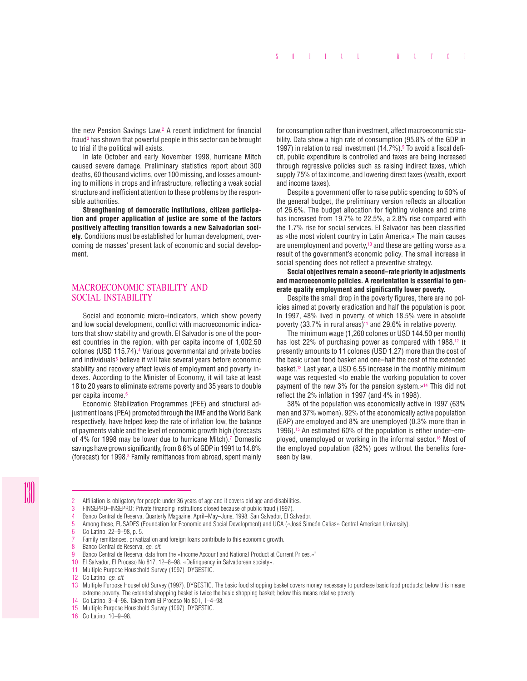the new Pension Savings Law.2 A recent indictment for financial fraud<sup>3</sup> has shown that powerful people in this sector can be brought to trial if the political will exists.

In late October and early November 1998, hurricane Mitch caused severe damage. Preliminary statistics report about 300 deaths, 60 thousand victims, over 100 missing, and losses amounting to millions in crops and infrastructure, reflecting a weak social structure and inefficient attention to these problems by the responsible authorities.

**Strengthening of democratic institutions, citizen participation and proper application of justice are some of the factors positively affecting transition towards a new Salvadorian society.** Conditions must be established for human development, overcoming de masses' present lack of economic and social development.

#### MACROECONOMIC STABILITY AND SOCIAL INSTABILITY

Social and economic micro–indicators, which show poverty and low social development, conflict with macroeconomic indicators that show stability and growth. El Salvador is one of the poorest countries in the region, with per capita income of 1,002.50 colones (USD 115.74).4 Various governmental and private bodies and individuals<sup>5</sup> believe it will take several years before economic stability and recovery affect levels of employment and poverty indexes. According to the Minister of Economy, it will take at least 18 to 20 years to eliminate extreme poverty and 35 years to double per capita income.6

Economic Stabilization Programmes (PEE) and structural adjustment loans (PEA) promoted through the IMF and the World Bank respectively, have helped keep the rate of inflation low, the balance of payments viable and the level of economic growth high (forecasts of 4% for 1998 may be lower due to hurricane Mitch).7 Domestic savings have grown significantly, from 8.6% of GDP in 1991 to 14.8% (forecast) for 1998.8 Family remittances from abroad, spent mainly

for consumption rather than investment, affect macroeconomic stability. Data show a high rate of consumption (95.8% of the GDP in 1997) in relation to real investment (14.7%).<sup>9</sup> To avoid a fiscal deficit, public expenditure is controlled and taxes are being increased through regressive policies such as raising indirect taxes, which supply 75% of tax income, and lowering direct taxes (wealth, export and income taxes).

Despite a government offer to raise public spending to 50% of the general budget, the preliminary version reflects an allocation of 26.6%. The budget allocation for fighting violence and crime has increased from 19.7% to 22.5%, a 2.8% rise compared with the 1.7% rise for social services. El Salvador has been classified as «the most violent country in Latin America.» The main causes are unemployment and poverty, $10$  and these are getting worse as a result of the government's economic policy. The small increase in social spending does not reflect a preventive strategy.

**Social objectives remain a second–rate priority in adjustments and macroeconomic policies. A reorientation is essential to generate quality employment and significantly lower poverty.**

Despite the small drop in the poverty figures, there are no policies aimed at poverty eradication and half the population is poor. In 1997, 48% lived in poverty, of which 18.5% were in absolute poverty (33.7% in rural areas)<sup>11</sup> and 29.6% in relative poverty.

The minimum wage (1,260 colones or USD 144.50 per month) has lost 22% of purchasing power as compared with 1988.<sup>12</sup> It presently amounts to 11 colones (USD 1.27) more than the cost of the basic urban food basket and one–half the cost of the extended basket.13 Last year, a USD 6.55 increase in the monthly minimum wage was requested «to enable the working population to cover payment of the new 3% for the pension system.»14 This did not reflect the 2% inflation in 1997 (and 4% in 1998).

38% of the population was economically active in 1997 (63% men and 37% women). 92% of the economically active population (EAP) are employed and 8% are unemployed (0.3% more than in 1996).15 An estimated 60% of the population is either under–employed, unemployed or working in the informal sector.<sup>16</sup> Most of the employed population (82%) goes without the benefits foreseen by law.

8 Banco Central de Reserva, *op. cit.*

- 10 El Salvador, El Proceso No 817, 12–8–98. «Delinquency in Salvadorean society».
- 11 Multiple Purpose Household Survey (1997). DYGESTIC.

16 Co Latino, 10–9–98.

<sup>2</sup> Affiliation is obligatory for people under 36 years of age and it covers old age and disabilities.

<sup>3</sup> FINSEPRO–INSEPRO: Private financing institutions closed because of public fraud (1997).

<sup>4</sup> Banco Central de Reserva, Quarterly Magazine, April–May–June, 1998. San Salvador, El Salvador.

<sup>5</sup> Among these, FUSADES (Foundation for Economic and Social Development) and UCA («José Simeón Cañas» Central American University).<br>6 Colatino 22–9–98 n 5

<sup>6</sup> Co Latino, 22–9–98, p. 5.

Family remittances, privatization and foreign loans contribute to this economic growth.

<sup>9</sup> Banco Central de Reserva, data from the «Income Account and National Product at Current Prices.»"

<sup>12</sup> Co Latino, *op. cit.*

<sup>13</sup> Multiple Purpose Household Survey (1997). DYGESTIC. The basic food shopping basket covers money necessary to purchase basic food products; below this means extreme poverty. The extended shopping basket is twice the basic shopping basket; below this means relative poverty.

<sup>14</sup> Co Latino, 3–4–98. Taken from El Proceso No 801, 1–4–98.

<sup>15</sup> Multiple Purpose Household Survey (1997). DYGESTIC.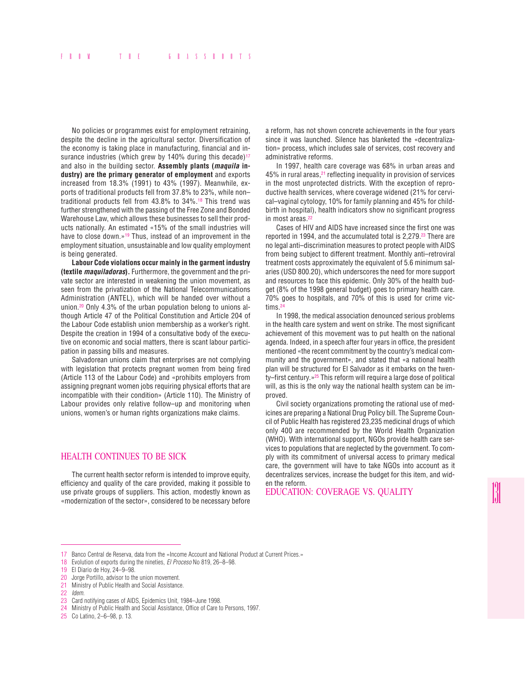No policies or programmes exist for employment retraining, despite the decline in the agricultural sector. Diversification of the economy is taking place in manufacturing, financial and insurance industries (which grew by 140% during this decade)<sup>17</sup> and also in the building sector. **Assembly plants (maquila industry) are the primary generator of employment** and exports increased from 18.3% (1991) to 43% (1997). Meanwhile, exports of traditional products fell from 37.8% to 23%, while non– traditional products fell from 43.8% to 34%.18 This trend was further strengthened with the passing of the Free Zone and Bonded Warehouse Law, which allows these businesses to sell their products nationally. An estimated «15% of the small industries will have to close down.»<sup>19</sup> Thus, instead of an improvement in the employment situation, unsustainable and low quality employment is being generated.

**Labour Code violations occur mainly in the garment industry (textile maquiladoras).** Furthermore, the government and the private sector are interested in weakening the union movement, as seen from the privatization of the National Telecommunications Administration (ANTEL), which will be handed over without a union.20 Only 4.3% of the urban population belong to unions although Article 47 of the Political Constitution and Article 204 of the Labour Code establish union membership as a worker's right. Despite the creation in 1994 of a consultative body of the executive on economic and social matters, there is scant labour participation in passing bills and measures.

Salvadorean unions claim that enterprises are not complying with legislation that protects pregnant women from being fired (Article 113 of the Labour Code) and «prohibits employers from assigning pregnant women jobs requiring physical efforts that are incompatible with their condition» (Article 110). The Ministry of Labour provides only relative follow–up and monitoring when unions, women's or human rights organizations make claims.

#### HEALTH CONTINUES TO BE SICK

The current health sector reform is intended to improve equity, efficiency and quality of the care provided, making it possible to use private groups of suppliers. This action, modestly known as «modernization of the sector», considered to be necessary before

a reform, has not shown concrete achievements in the four years since it was launched. Silence has blanketed the «decentralization» process, which includes sale of services, cost recovery and administrative reforms.

In 1997, health care coverage was 68% in urban areas and 45% in rural areas,<sup>21</sup> reflecting inequality in provision of services in the most unprotected districts. With the exception of reproductive health services, where coverage widened (21% for cervical–vaginal cytology, 10% for family planning and 45% for childbirth in hospital), health indicators show no significant progress in most areas.22

Cases of HIV and AIDS have increased since the first one was reported in 1994, and the accumulated total is 2.279.<sup>23</sup> There are no legal anti–discrimination measures to protect people with AIDS from being subject to different treatment. Monthly anti–retroviral treatment costs approximately the equivalent of 5.6 minimum salaries (USD 800.20), which underscores the need for more support and resources to face this epidemic. Only 30% of the health budget (8% of the 1998 general budget) goes to primary health care. 70% goes to hospitals, and 70% of this is used for crime victims.24

In 1998, the medical association denounced serious problems in the health care system and went on strike. The most significant achievement of this movement was to put health on the national agenda. Indeed, in a speech after four years in office, the president mentioned «the recent commitment by the country's medical community and the government», and stated that «a national health plan will be structured for El Salvador as it embarks on the twenty–first century.»25 This reform will require a large dose of political will, as this is the only way the national health system can be improved.

Civil society organizations promoting the rational use of medicines are preparing a National Drug Policy bill. The Supreme Council of Public Health has registered 23,235 medicinal drugs of which only 400 are recommended by the World Health Organization (WHO). With international support, NGOs provide health care services to populations that are neglected by the government. To comply with its commitment of universal access to primary medical care, the government will have to take NGOs into account as it decentralizes services, increase the budget for this item, and widen the reform.

EDUCATION: COVERAGE VS. QUALITY

<sup>17</sup> Banco Central de Reserva, data from the «Income Account and National Product at Current Prices.»

<sup>18</sup> Evolution of exports during the nineties, *El Proceso* No 819, 26–8–98.

<sup>19</sup> El Diario de Hoy, 24-9-98.<br>20 Jorge Portillo, advisor to the

<sup>20</sup> Jorge Portillo, advisor to the union movement.<br>21 Ministry of Public Health and Social Assistance

Ministry of Public Health and Social Assistance.

<sup>22</sup> *Idem.*

<sup>23</sup> Card notifying cases of AIDS, Epidemics Unit, 1984–June 1998.

<sup>24</sup> Ministry of Public Health and Social Assistance, Office of Care to Persons, 1997.

<sup>25</sup> Co Latino, 2–6–98, p. 13.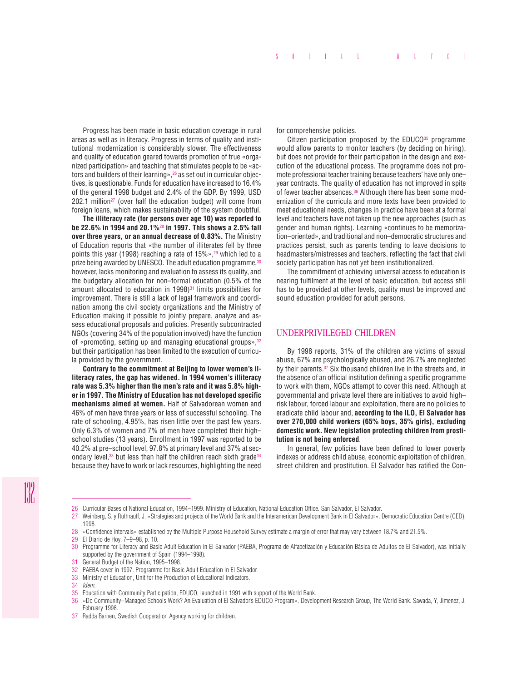Progress has been made in basic education coverage in rural areas as well as in literacy. Progress in terms of quality and institutional modernization is considerably slower. The effectiveness and quality of education geared towards promotion of true «organized participation» and teaching that stimulates people to be «actors and builders of their learning», <sup>26</sup> as set out in curricular objectives, is questionable. Funds for education have increased to 16.4% of the general 1998 budget and 2.4% of the GDP. By 1999, USD  $202.1$  million<sup>27</sup> (over half the education budget) will come from foreign loans, which makes sustainability of the system doubtful.

**The illiteracy rate (for persons over age 10) was reported to be 22.6% in 1994 and 20.1%**<sup>28</sup> **in 1997. This shows a 2.5% fall over three years, or an annual decrease of 0.83%.** The Ministry of Education reports that «the number of illiterates fell by three points this year (1998) reaching a rate of 15%»,<sup>29</sup> which led to a prize being awarded by UNESCO. The adult education programme, 30 however, lacks monitoring and evaluation to assess its quality, and the budgetary allocation for non–formal education (0.5% of the amount allocated to education in  $1998$ <sup>31</sup> limits possibilities for improvement. There is still a lack of legal framework and coordination among the civil society organizations and the Ministry of Education making it possible to jointly prepare, analyze and assess educational proposals and policies. Presently subcontracted NGOs (covering 34% of the population involved) have the function of «promoting, setting up and managing educational groups»,<sup>32</sup> but their participation has been limited to the execution of curricula provided by the government.

**Contrary to the commitment at Beijing to lower women's illiteracy rates, the gap has widened. In 1994 women's illiteracy rate was 5.3% higher than the men's rate and it was 5.8% higher in 1997. The Ministry of Education has not developed specific mechanisms aimed at women.** Half of Salvadorean women and 46% of men have three years or less of successful schooling. The rate of schooling, 4.95%, has risen little over the past few years. Only 6.3% of women and 7% of men have completed their high– school studies (13 years). Enrollment in 1997 was reported to be 40.2% at pre–school level, 97.8% at primary level and 37% at secondary level,<sup>33</sup> but less than half the children reach sixth grade<sup>34</sup> because they have to work or lack resources, highlighting the need

for comprehensive policies.

Citizen participation proposed by the  $EDUCO<sup>35</sup>$  programme would allow parents to monitor teachers (by deciding on hiring), but does not provide for their participation in the design and execution of the educational process. The programme does not promote professional teacher training because teachers' have only one– year contracts. The quality of education has not improved in spite of fewer teacher absences.<sup>36</sup> Although there has been some modernization of the curricula and more texts have been provided to meet educational needs, changes in practice have been at a formal level and teachers have not taken up the new approaches (such as gender and human rights). Learning «continues to be memorization–oriented», and traditional and non–democratic structures and practices persist, such as parents tending to leave decisions to headmasters/mistresses and teachers, reflecting the fact that civil society participation has not yet been institutionalized.

The commitment of achieving universal access to education is nearing fulfilment at the level of basic education, but access still has to be provided at other levels, quality must be improved and sound education provided for adult persons.

#### UNDERPRIVILEGED CHILDREN

By 1998 reports, 31% of the children are victims of sexual abuse, 67% are psychologically abused, and 26.7% are neglected by their parents.<sup>37</sup> Six thousand children live in the streets and, in the absence of an official institution defining a specific programme to work with them, NGOs attempt to cover this need. Although at governmental and private level there are initiatives to avoid high– risk labour, forced labour and exploitation, there are no policies to eradicate child labour and, **according to the ILO, El Salvador has over 270,000 child workers (65% boys, 35% girls), excluding domestic work. New legislation protecting children from prostitution is not being enforced**.

In general, few policies have been defined to lower poverty indexes or address child abuse, economic exploitation of children, street children and prostitution. El Salvador has ratified the Con-

General Budget of the Nation, 1995–1998.

- 33 Ministry of Education, Unit for the Production of Educational Indicators.<br>34 *Idem*
- 34 *Idem.*

<sup>26</sup> Curricular Bases of National Education, 1994–1999. Ministry of Education, National Education Office. San Salvador, El Salvador.<br>27 Weinberg S. v. Buthrauff J. «Strategies and projects of the World Bank and the Interamer

<sup>27</sup> Weinberg, S. y Ruthrauff, J. «Strategies and projects of the World Bank and the Interamerican Development Bank in El Salvador». Democratic Education Centre (CED), 1998.

<sup>28</sup> «Confidence intervals» established by the Multiple Purpose Household Survey estimate a margin of error that may vary between 18.7% and 21.5%.

<sup>29</sup> El Diario de Hoy, 7–9–98, p. 10.

<sup>30</sup> Programme for Literacy and Basic Adult Education in El Salvador (PAEBA, Programa de Alfabetización y Educación Básica de Adultos de El Salvador), was initially supported by the government of Spain (1994–1998).

<sup>32</sup> PAEBA cover in 1997. Programme for Basic Adult Education in El Salvador.

<sup>35</sup> Education with Community Participation, EDUCO, launched in 1991 with support of the World Bank.<br>36 «Do Community–Managed Schools Work? An Evaluation of El Salvador's EDUCO Program». Develo

<sup>36</sup> «Do Community–Managed Schools Work? An Evaluation of El Salvador's EDUCO Program». Development Research Group, The World Bank. Sawada, Y, Jimenez, J. February 1998.

<sup>37</sup> Radda Barnen, Swedish Cooperation Agency working for children.